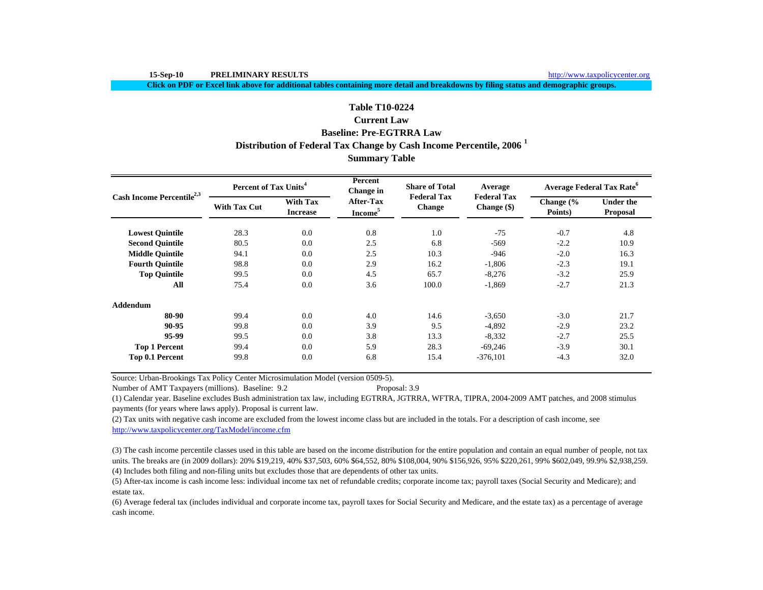**15-Sep-10 PRELIMINARY RESULTS** http://www.taxpolicycenter.org

**Click on PDF or Excel link above for additional tables containing more detail and breakdowns by filing status and demographic groups.**

# **Table T10-0224Current Law**

# **Baseline: Pre-EGTRRA Law**

# **Distribution of Federal Tax Change by Cash Income Percentile, 2006 <sup>1</sup>**

# **Summary Table**

| Cash Income Percentile <sup>2,3</sup> | Percent of Tax Units <sup>4</sup> |                                    | Percent<br>Change in                    | <b>Share of Total</b>               | Average                             | <b>Average Federal Tax Rate<sup>6</sup></b> |                                     |  |
|---------------------------------------|-----------------------------------|------------------------------------|-----------------------------------------|-------------------------------------|-------------------------------------|---------------------------------------------|-------------------------------------|--|
|                                       | <b>With Tax Cut</b>               | <b>With Tax</b><br><b>Increase</b> | <b>After-Tax</b><br>Income <sup>5</sup> | <b>Federal Tax</b><br><b>Change</b> | <b>Federal Tax</b><br>Change $(\$)$ | Change (%<br>Points)                        | <b>Under the</b><br><b>Proposal</b> |  |
| <b>Lowest Quintile</b>                | 28.3                              | 0.0                                | 0.8                                     | 1.0                                 | $-75$                               | $-0.7$                                      | 4.8                                 |  |
| <b>Second Quintile</b>                | 80.5                              | 0.0                                | 2.5                                     | 6.8                                 | $-569$                              | $-2.2$                                      | 10.9                                |  |
| <b>Middle Quintile</b>                | 94.1                              | 0.0                                | 2.5                                     | 10.3                                | $-946$                              | $-2.0$                                      | 16.3                                |  |
| <b>Fourth Quintile</b>                | 98.8                              | 0.0                                | 2.9                                     | 16.2                                | $-1,806$                            | $-2.3$                                      | 19.1                                |  |
| <b>Top Quintile</b>                   | 99.5                              | 0.0                                | 4.5                                     | 65.7                                | $-8,276$                            | $-3.2$                                      | 25.9                                |  |
| All                                   | 75.4                              | 0.0                                | 3.6                                     | 100.0                               | $-1,869$                            | $-2.7$                                      | 21.3                                |  |
| Addendum                              |                                   |                                    |                                         |                                     |                                     |                                             |                                     |  |
| 80-90                                 | 99.4                              | 0.0                                | 4.0                                     | 14.6                                | $-3,650$                            | $-3.0$                                      | 21.7                                |  |
| 90-95                                 | 99.8                              | 0.0                                | 3.9                                     | 9.5                                 | $-4,892$                            | $-2.9$                                      | 23.2                                |  |
| 95-99                                 | 99.5                              | 0.0                                | 3.8                                     | 13.3                                | $-8,332$                            | $-2.7$                                      | 25.5                                |  |
| <b>Top 1 Percent</b>                  | 99.4                              | 0.0                                | 5.9                                     | 28.3                                | $-69,246$                           | $-3.9$                                      | 30.1                                |  |
| Top 0.1 Percent                       | 99.8                              | 0.0                                | 6.8                                     | 15.4                                | $-376,101$                          | $-4.3$                                      | 32.0                                |  |

Source: Urban-Brookings Tax Policy Center Microsimulation Model (version 0509-5).

Number of AMT Taxpayers (millions). Baseline: 9.2 Proposal: 3.9

(1) Calendar year. Baseline excludes Bush administration tax law, including EGTRRA, JGTRRA, WFTRA, TIPRA, 2004-2009 AMT patches, and 2008 stimulus payments (for years where laws apply). Proposal is current law.

(2) Tax units with negative cash income are excluded from the lowest income class but are included in the totals. For a description of cash income, see http://www.taxpolicycenter.org/TaxModel/income.cfm

(4) Includes both filing and non-filing units but excludes those that are dependents of other tax units. (3) The cash income percentile classes used in this table are based on the income distribution for the entire population and contain an equal number of people, not tax units. The breaks are (in 2009 dollars): 20% \$19,219, 40% \$37,503, 60% \$64,552, 80% \$108,004, 90% \$156,926, 95% \$220,261, 99% \$602,049, 99.9% \$2,938,259.

(5) After-tax income is cash income less: individual income tax net of refundable credits; corporate income tax; payroll taxes (Social Security and Medicare); and estate tax.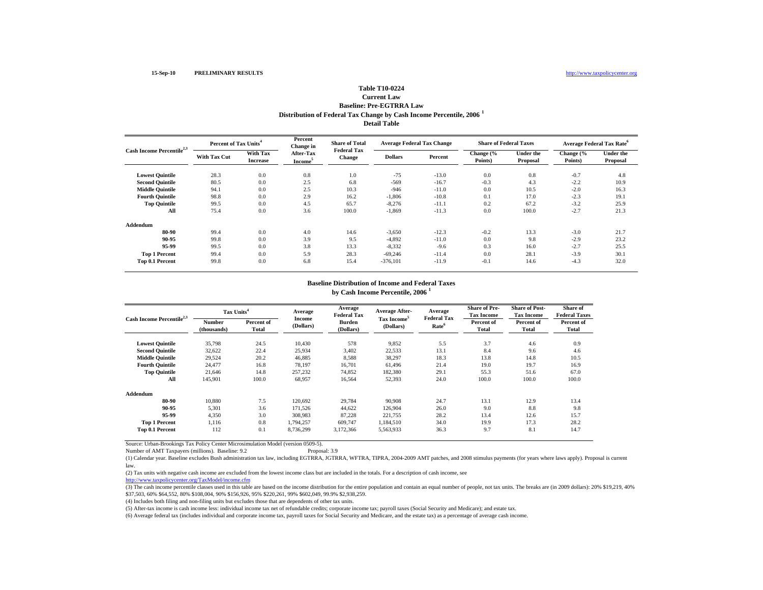#### **Distribution of Federal Tax Change by Cash Income Percentile, 2006 <sup>1</sup> Detail TableCurrent LawBaseline: Pre-EGTRRA Law**

| Cash Income Percentile <sup>2,3</sup> |                     | Percent of Tax Units <sup>4</sup> |                                  | <b>Share of Total</b>               | <b>Average Federal Tax Change</b> |         | <b>Share of Federal Taxes</b> |                       |                      | <b>Average Federal Tax Rate<sup>6</sup></b> |
|---------------------------------------|---------------------|-----------------------------------|----------------------------------|-------------------------------------|-----------------------------------|---------|-------------------------------|-----------------------|----------------------|---------------------------------------------|
|                                       | <b>With Tax Cut</b> | With Tax<br><b>Increase</b>       | After-Tax<br>Income <sup>2</sup> | <b>Federal Tax</b><br><b>Change</b> | <b>Dollars</b>                    | Percent | Change (%<br>Points)          | Under the<br>Proposal | Change (%<br>Points) | <b>Under the</b><br>Proposal                |
| <b>Lowest Quintile</b>                | 28.3                | 0.0                               | 0.8                              | 1.0                                 | $-75$                             | $-13.0$ | 0.0                           | 0.8                   | $-0.7$               | 4.8                                         |
| <b>Second Quintile</b>                | 80.5                | 0.0                               | 2.5                              | 6.8                                 | $-569$                            | $-16.7$ | $-0.3$                        | 4.3                   | $-2.2$               | 10.9                                        |
| <b>Middle Quintile</b>                | 94.1                | 0.0                               | 2.5                              | 10.3                                | $-946$                            | $-11.0$ | 0.0                           | 10.5                  | $-2.0$               | 16.3                                        |
| <b>Fourth Ouintile</b>                | 98.8                | 0.0                               | 2.9                              | 16.2                                | $-1,806$                          | $-10.8$ | 0.1                           | 17.0                  | $-2.3$               | 19.1                                        |
| <b>Top Quintile</b>                   | 99.5                | 0.0                               | 4.5                              | 65.7                                | $-8,276$                          | $-11.1$ | 0.2                           | 67.2                  | $-3.2$               | 25.9                                        |
| All                                   | 75.4                | 0.0                               | 3.6                              | 100.0                               | $-1,869$                          | $-11.3$ | 0.0                           | 100.0                 | $-2.7$               | 21.3                                        |
| Addendum                              |                     |                                   |                                  |                                     |                                   |         |                               |                       |                      |                                             |
| 80-90                                 | 99.4                | 0.0                               | 4.0                              | 14.6                                | $-3,650$                          | $-12.3$ | $-0.2$                        | 13.3                  | $-3.0$               | 21.7                                        |
| 90-95                                 | 99.8                | 0.0                               | 3.9                              | 9.5                                 | $-4,892$                          | $-11.0$ | 0.0                           | 9.8                   | $-2.9$               | 23.2                                        |
| 95-99                                 | 99.5                | 0.0                               | 3.8                              | 13.3                                | $-8,332$                          | $-9.6$  | 0.3                           | 16.0                  | $-2.7$               | 25.5                                        |
| <b>Top 1 Percent</b>                  | 99.4                | 0.0                               | 5.9                              | 28.3                                | $-69,246$                         | $-11.4$ | 0.0                           | 28.1                  | $-3.9$               | 30.1                                        |
| Top 0.1 Percent                       | 99.8                | 0.0                               | 6.8                              | 15.4                                | $-376,101$                        | $-11.9$ | $-0.1$                        | 14.6                  | $-4.3$               | 32.0                                        |

#### **by Cash Income Percentile, 2006 <sup>1</sup> Baseline Distribution of Income and Federal Taxes**

| Cash Income Percentile <sup>2,3</sup> |                              | Tax Units <sup>4</sup> |                            | Average<br><b>Federal Tax</b> | <b>Average After-</b>                | Average<br><b>Federal Tax</b> | <b>Share of Pre-</b><br><b>Tax Income</b> | <b>Share of Post-</b><br><b>Tax Income</b> | Share of<br><b>Federal Taxes</b> |
|---------------------------------------|------------------------------|------------------------|----------------------------|-------------------------------|--------------------------------------|-------------------------------|-------------------------------------------|--------------------------------------------|----------------------------------|
|                                       | <b>Number</b><br>(thousands) | Percent of<br>Total    | <b>Income</b><br>(Dollars) | <b>Burden</b><br>(Dollars)    | Tax Income <sup>5</sup><br>(Dollars) | Rate <sup>6</sup>             | Percent of<br><b>Total</b>                | Percent of<br>Total                        | Percent of<br>Total              |
| <b>Lowest Quintile</b>                | 35,798                       | 24.5                   | 10,430                     | 578                           | 9,852                                | 5.5                           | 3.7                                       | 4.6                                        | 0.9                              |
| <b>Second Quintile</b>                | 32,622                       | 22.4                   | 25,934                     | 3,402                         | 22,533                               | 13.1                          | 8.4                                       | 9.6                                        | 4.6                              |
| <b>Middle Quintile</b>                | 29,524                       | 20.2                   | 46,885                     | 8,588                         | 38.297                               | 18.3                          | 13.8                                      | 14.8                                       | 10.5                             |
| <b>Fourth Quintile</b>                | 24,477                       | 16.8                   | 78,197                     | 16,701                        | 61,496                               | 21.4                          | 19.0                                      | 19.7                                       | 16.9                             |
| <b>Top Quintile</b>                   | 21,646                       | 14.8                   | 257,232                    | 74,852                        | 182,380                              | 29.1                          | 55.3                                      | 51.6                                       | 67.0                             |
| All                                   | 145,901                      | 100.0                  | 68,957                     | 16,564                        | 52,393                               | 24.0                          | 100.0                                     | 100.0                                      | 100.0                            |
| Addendum                              |                              |                        |                            |                               |                                      |                               |                                           |                                            |                                  |
| 80-90                                 | 10.880                       | 7.5                    | 120.692                    | 29.784                        | 90.908                               | 24.7                          | 13.1                                      | 12.9                                       | 13.4                             |
| 90-95                                 | 5,301                        | 3.6                    | 171,526                    | 44,622                        | 126,904                              | 26.0                          | 9.0                                       | 8.8                                        | 9.8                              |
| 95-99                                 | 4,350                        | 3.0                    | 308,983                    | 87,228                        | 221,755                              | 28.2                          | 13.4                                      | 12.6                                       | 15.7                             |
| <b>Top 1 Percent</b>                  | 1.116                        | 0.8                    | 1,794,257                  | 609,747                       | 1.184.510                            | 34.0                          | 19.9                                      | 17.3                                       | 28.2                             |
| Top 0.1 Percent                       | 112                          | 0.1                    | 8,736,299                  | 3,172,366                     | 5,563,933                            | 36.3                          | 9.7                                       | 8.1                                        | 14.7                             |

Source: Urban-Brookings Tax Policy Center Microsimulation Model (version 0509-5). Number of AMT Taxpayers (millions). Baseline: 9.2

(1) Calendar year. Baseline excludes Bush administration tax law, including EGTRRA, JGTRRA, WFTRA, TIPRA, 2004-2009 AMT patches, and 2008 stimulus payments (for years where laws apply). Proposal is current law.

(2) Tax units with negative cash income are excluded from the lowest income class but are included in the totals. For a description of cash income, see

http://www.taxpolicycenter.org/TaxModel/income.cfm

(3) The cash income percentile classes used in this table are based on the income distribution for the entire population and contain an equal number of people, not tax units. The breaks are (in 2009 dollars): 20% \$19,219, \$37,503, 60% \$64,552, 80% \$108,004, 90% \$156,926, 95% \$220,261, 99% \$602,049, 99.9% \$2,938,259.

(4) Includes both filing and non-filing units but excludes those that are dependents of other tax units.

(5) After-tax income is cash income less: individual income tax net of refundable credits; corporate income tax; payroll taxes (Social Security and Medicare); and estate tax.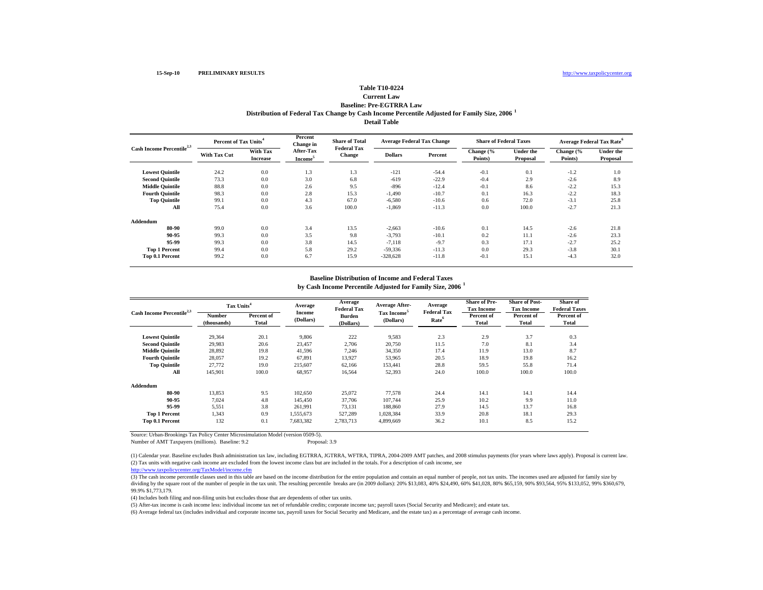#### **Table T10-0224Current Law**

## **Distribution of Federal Tax Change by Cash Income Percentile Adjusted for Family Size, 2006 <sup>1</sup> Detail TableBaseline: Pre-EGTRRA Law**

| Cash Income Percentile <sup>2,3</sup> | Percent of Tax Units <sup>4</sup> |                             | Percent<br>Change in             | <b>Share of Total</b><br><b>Federal Tax</b> | <b>Average Federal Tax Change</b> |         | <b>Share of Federal Taxes</b> |                       | <b>Average Federal Tax Rate<sup>6</sup></b> |                              |
|---------------------------------------|-----------------------------------|-----------------------------|----------------------------------|---------------------------------------------|-----------------------------------|---------|-------------------------------|-----------------------|---------------------------------------------|------------------------------|
|                                       | <b>With Tax Cut</b>               | With Tax<br><b>Increase</b> | After-Tax<br>Income <sup>3</sup> | <b>Change</b>                               | <b>Dollars</b>                    | Percent | Change (%<br>Points)          | Under the<br>Proposal | Change (%<br>Points)                        | <b>Under the</b><br>Proposal |
| <b>Lowest Quintile</b>                | 24.2                              | 0.0                         | 1.3                              | 1.3                                         | $-121$                            | $-54.4$ | $-0.1$                        | 0.1                   | $-1.2$                                      | 1.0                          |
| <b>Second Quintile</b>                | 73.3                              | 0.0                         | 3.0                              | 6.8                                         | $-619$                            | $-22.9$ | $-0.4$                        | 2.9                   | $-2.6$                                      | 8.9                          |
| <b>Middle Quintile</b>                | 88.8                              | 0.0                         | 2.6                              | 9.5                                         | $-896$                            | $-12.4$ | $-0.1$                        | 8.6                   | $-2.2$                                      | 15.3                         |
| <b>Fourth Quintile</b>                | 98.3                              | 0.0                         | 2.8                              | 15.3                                        | $-1,490$                          | $-10.7$ | 0.1                           | 16.3                  | $-2.2$                                      | 18.3                         |
| <b>Top Quintile</b>                   | 99.1                              | 0.0                         | 4.3                              | 67.0                                        | $-6,580$                          | $-10.6$ | 0.6                           | 72.0                  | $-3.1$                                      | 25.8                         |
| All                                   | 75.4                              | 0.0                         | 3.6                              | 100.0                                       | $-1,869$                          | $-11.3$ | 0.0                           | 100.0                 | $-2.7$                                      | 21.3                         |
| Addendum                              |                                   |                             |                                  |                                             |                                   |         |                               |                       |                                             |                              |
| 80-90                                 | 99.0                              | 0.0                         | 3.4                              | 13.5                                        | $-2,663$                          | $-10.6$ | 0.1                           | 14.5                  | $-2.6$                                      | 21.8                         |
| 90-95                                 | 99.3                              | 0.0                         | 3.5                              | 9.8                                         | $-3,793$                          | $-10.1$ | 0.2                           | 11.1                  | $-2.6$                                      | 23.3                         |
| 95-99                                 | 99.3                              | 0.0                         | 3.8                              | 14.5                                        | $-7,118$                          | $-9.7$  | 0.3                           | 17.1                  | $-2.7$                                      | 25.2                         |
| <b>Top 1 Percent</b>                  | 99.4                              | 0.0                         | 5.8                              | 29.2                                        | $-59,336$                         | $-11.3$ | 0.0                           | 29.3                  | $-3.8$                                      | 30.1                         |
| Top 0.1 Percent                       | 99.2                              | 0.0                         | 6.7                              | 15.9                                        | $-328,628$                        | $-11.8$ | $-0.1$                        | 15.1                  | $-4.3$                                      | 32.0                         |

#### **Baseline Distribution of Income and Federal Taxes**

**by Cash Income Percentile Adjusted for Family Size, 2006 <sup>1</sup>**

| Cash Income Percentile <sup>2,3</sup> | Tax Units <sup>4</sup> |                     | Average             | Average<br><b>Federal Tax</b> | <b>Average After-</b>                | Average<br><b>Federal Tax</b> | <b>Share of Pre-</b><br><b>Tax Income</b> | <b>Share of Post-</b><br><b>Tax Income</b> | Share of<br><b>Federal Taxes</b> |
|---------------------------------------|------------------------|---------------------|---------------------|-------------------------------|--------------------------------------|-------------------------------|-------------------------------------------|--------------------------------------------|----------------------------------|
|                                       | Number<br>(thousands)  | Percent of<br>Total | Income<br>(Dollars) | Burden<br>(Dollars)           | Tax Income <sup>5</sup><br>(Dollars) | Rate <sup>6</sup>             | Percent of<br><b>Total</b>                | Percent of<br>Total                        | Percent of<br>Total              |
| <b>Lowest Quintile</b>                | 29,364                 | 20.1                | 9,806               | 222                           | 9,583                                | 2.3                           | 2.9                                       | 3.7                                        | 0.3                              |
| <b>Second Quintile</b>                | 29.983                 | 20.6                | 23.457              | 2.706                         | 20,750                               | 11.5                          | 7.0                                       | 8.1                                        | 3.4                              |
| <b>Middle Quintile</b>                | 28,892                 | 19.8                | 41,596              | 7,246                         | 34,350                               | 17.4                          | 11.9                                      | 13.0                                       | 8.7                              |
| <b>Fourth Ouintile</b>                | 28,057                 | 19.2                | 67,891              | 13,927                        | 53,965                               | 20.5                          | 18.9                                      | 19.8                                       | 16.2                             |
| <b>Top Quintile</b>                   | 27,772                 | 19.0                | 215.607             | 62,166                        | 153.441                              | 28.8                          | 59.5                                      | 55.8                                       | 71.4                             |
| All                                   | 145.901                | 100.0               | 68,957              | 16,564                        | 52,393                               | 24.0                          | 100.0                                     | 100.0                                      | 100.0                            |
| Addendum                              |                        |                     |                     |                               |                                      |                               |                                           |                                            |                                  |
| 80-90                                 | 13.853                 | 9.5                 | 102.650             | 25,072                        | 77.578                               | 24.4                          | 14.1                                      | 14.1                                       | 14.4                             |
| 90-95                                 | 7,024                  | 4.8                 | 145.450             | 37,706                        | 107,744                              | 25.9                          | 10.2                                      | 9.9                                        | 11.0                             |
| 95-99                                 | 5,551                  | 3.8                 | 261,991             | 73,131                        | 188,860                              | 27.9                          | 14.5                                      | 13.7                                       | 16.8                             |
| <b>Top 1 Percent</b>                  | 1,343                  | 0.9                 | 1,555,673           | 527,289                       | 1,028,384                            | 33.9                          | 20.8                                      | 18.1                                       | 29.3                             |
| Top 0.1 Percent                       | 132                    | 0.1                 | 7,683,382           | 2,783,713                     | 4,899,669                            | 36.2                          | 10.1                                      | 8.5                                        | 15.2                             |

Source: Urban-Brookings Tax Policy Center Microsimulation Model (version 0509-5).

Number of AMT Taxpayers (millions). Baseline: 9.2

(2) Tax units with negative cash income are excluded from the lowest income class but are included in the totals. For a description of cash income, see (1) Calendar year. Baseline excludes Bush administration tax law, including EGTRRA, JGTRRA, WFTRA, TIPRA, 2004-2009 AMT patches, and 2008 stimulus payments (for years where laws apply). Proposal is current law.

http://www.taxpolicycenter.org/TaxModel/income.cfm

(3) The cash income percentile classes used in this table are based on the income distribution for the entire population and contain an equal number of people, not tax units. The incomes used are adjusted for family size by dividing by the square root of the number of people in the tax unit. The resulting percentile breaks are (in 2009 dollars): 20% \$13,083, 40% \$24,490, 60% \$41,028, 80% \$65,159, 90% \$93,564, 95% \$133,052, 99% \$360,679, 99.9% \$1,773,179.

(4) Includes both filing and non-filing units but excludes those that are dependents of other tax units.

(5) After-tax income is cash income less: individual income tax net of refundable credits; corporate income tax; payroll taxes (Social Security and Medicare); and estate tax.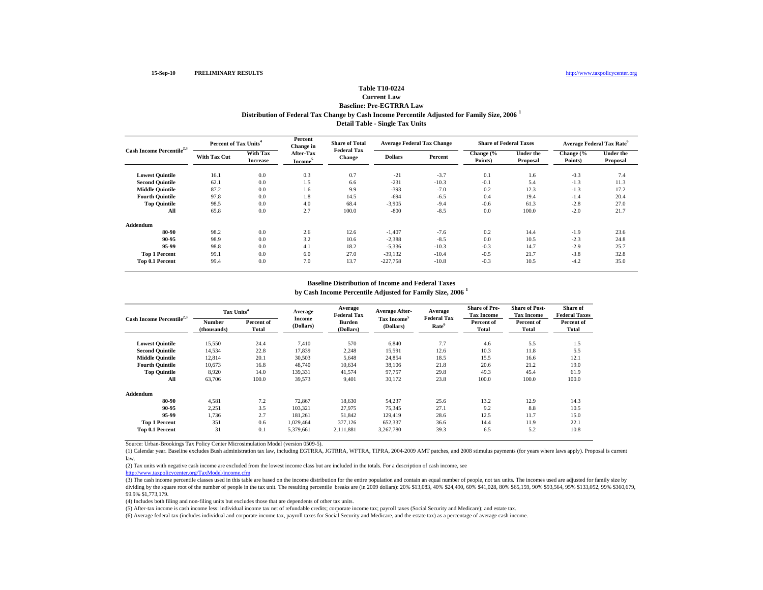## **Distribution of Federal Tax Change by Cash Income Percentile Adjusted for Family Size, 2006 <sup>1</sup> Detail Table - Single Tax Units Current LawBaseline: Pre-EGTRRA Law**

| Cash Income Percentile <sup>2,3</sup> | Percent of Tax Units <sup>4</sup> |                                    | Percent<br><b>Change</b> in      | <b>Share of Total</b><br><b>Federal Tax</b> | <b>Average Federal Tax Change</b> |         | <b>Share of Federal Taxes</b> |                              | <b>Average Federal Tax Rate<sup>6</sup></b> |                              |
|---------------------------------------|-----------------------------------|------------------------------------|----------------------------------|---------------------------------------------|-----------------------------------|---------|-------------------------------|------------------------------|---------------------------------------------|------------------------------|
|                                       | <b>With Tax Cut</b>               | <b>With Tax</b><br><b>Increase</b> | After-Tax<br>Income <sup>3</sup> | <b>Change</b>                               | <b>Dollars</b>                    | Percent | Change (%<br>Points)          | Under the<br><b>Proposal</b> | Change (%<br>Points)                        | <b>Under the</b><br>Proposal |
| <b>Lowest Quintile</b>                | 16.1                              | 0.0                                | 0.3                              | 0.7                                         | $-21$                             | $-3.7$  | 0.1                           | 1.6                          | $-0.3$                                      | 7.4                          |
| <b>Second Quintile</b>                | 62.1                              | 0.0                                | 1.5                              | 6.6                                         | $-231$                            | $-10.3$ | $-0.1$                        | 5.4                          | $-1.3$                                      | 11.3                         |
| <b>Middle Ouintile</b>                | 87.2                              | 0.0                                | 1.6                              | 9.9                                         | $-393$                            | $-7.0$  | 0.2                           | 12.3                         | $-1.3$                                      | 17.2                         |
| <b>Fourth Ouintile</b>                | 97.8                              | 0.0                                | 1.8                              | 14.5                                        | $-694$                            | $-6.5$  | 0.4                           | 19.4                         | $-1.4$                                      | 20.4                         |
| <b>Top Quintile</b>                   | 98.5                              | 0.0                                | 4.0                              | 68.4                                        | $-3,905$                          | $-9.4$  | $-0.6$                        | 61.3                         | $-2.8$                                      | 27.0                         |
| All                                   | 65.8                              | 0.0                                | 2.7                              | 100.0                                       | $-800$                            | $-8.5$  | 0.0                           | 100.0                        | $-2.0$                                      | 21.7                         |
| Addendum                              |                                   |                                    |                                  |                                             |                                   |         |                               |                              |                                             |                              |
| 80-90                                 | 98.2                              | 0.0                                | 2.6                              | 12.6                                        | $-1,407$                          | $-7.6$  | 0.2                           | 14.4                         | $-1.9$                                      | 23.6                         |
| 90-95                                 | 98.9                              | 0.0                                | 3.2                              | 10.6                                        | $-2,388$                          | $-8.5$  | 0.0                           | 10.5                         | $-2.3$                                      | 24.8                         |
| 95-99                                 | 98.8                              | 0.0                                | 4.1                              | 18.2                                        | $-5,336$                          | $-10.3$ | $-0.3$                        | 14.7                         | $-2.9$                                      | 25.7                         |
| <b>Top 1 Percent</b>                  | 99.1                              | 0.0                                | 6.0                              | 27.0                                        | $-39,132$                         | $-10.4$ | $-0.5$                        | 21.7                         | $-3.8$                                      | 32.8                         |
| Top 0.1 Percent                       | 99.4                              | 0.0                                | 7.0                              | 13.7                                        | $-227.758$                        | $-10.8$ | $-0.3$                        | 10.5                         | $-4.2$                                      | 35.0                         |

#### **by Cash Income Percentile Adjusted for Family Size, 2006 <sup>1</sup> Baseline Distribution of Income and Federal Taxes**

| Cash Income Percentile <sup>2,3</sup> | Tax Units <sup>4</sup> |                     | Average                    | Average<br><b>Federal Tax</b> | <b>Average After-</b>                | Average<br><b>Federal Tax</b> | <b>Share of Pre-</b><br><b>Tax Income</b> | <b>Share of Post-</b><br><b>Tax Income</b> | Share of<br><b>Federal Taxes</b> |
|---------------------------------------|------------------------|---------------------|----------------------------|-------------------------------|--------------------------------------|-------------------------------|-------------------------------------------|--------------------------------------------|----------------------------------|
|                                       | Number<br>(thousands)  | Percent of<br>Total | <b>Income</b><br>(Dollars) | <b>Burden</b><br>(Dollars)    | Tax Income <sup>5</sup><br>(Dollars) | Rate <sup>6</sup>             | Percent of<br>Total                       | Percent of<br>Total                        | Percent of<br>Total              |
| <b>Lowest Quintile</b>                | 15,550                 | 24.4                | 7.410                      | 570                           | 6,840                                | 7.7                           | 4.6                                       | 5.5                                        | 1.5                              |
| <b>Second Quintile</b>                | 14,534                 | 22.8                | 17,839                     | 2,248                         | 15,591                               | 12.6                          | 10.3                                      | 11.8                                       | 5.5                              |
| <b>Middle Quintile</b>                | 12,814                 | 20.1                | 30,503                     | 5,648                         | 24,854                               | 18.5                          | 15.5                                      | 16.6                                       | 12.1                             |
| <b>Fourth Ouintile</b>                | 10.673                 | 16.8                | 48,740                     | 10.634                        | 38,106                               | 21.8                          | 20.6                                      | 21.2                                       | 19.0                             |
| <b>Top Quintile</b>                   | 8.920                  | 14.0                | 139,331                    | 41.574                        | 97,757                               | 29.8                          | 49.3                                      | 45.4                                       | 61.9                             |
| All                                   | 63,706                 | 100.0               | 39,573                     | 9,401                         | 30,172                               | 23.8                          | 100.0                                     | 100.0                                      | 100.0                            |
| Addendum                              |                        |                     |                            |                               |                                      |                               |                                           |                                            |                                  |
| 80-90                                 | 4,581                  | 7.2                 | 72,867                     | 18,630                        | 54,237                               | 25.6                          | 13.2                                      | 12.9                                       | 14.3                             |
| 90-95                                 | 2,251                  | 3.5                 | 103,321                    | 27,975                        | 75,345                               | 27.1                          | 9.2                                       | 8.8                                        | 10.5                             |
| 95-99                                 | 1,736                  | 2.7                 | 181,261                    | 51,842                        | 129.419                              | 28.6                          | 12.5                                      | 11.7                                       | 15.0                             |
| <b>Top 1 Percent</b>                  | 351                    | 0.6                 | 1,029,464                  | 377,126                       | 652,337                              | 36.6                          | 14.4                                      | 11.9                                       | 22.1                             |
| Top 0.1 Percent                       | 31                     | 0.1                 | 5,379,661                  | 2,111,881                     | 3,267,780                            | 39.3                          | 6.5                                       | 5.2                                        | 10.8                             |

Source: Urban-Brookings Tax Policy Center Microsimulation Model (version 0509-5).

(1) Calendar year. Baseline excludes Bush administration tax law, including EGTRRA, JGTRRA, WFTRA, TIPRA, 2004-2009 AMT patches, and 2008 stimulus payments (for years where laws apply). Proposal is current law.

(2) Tax units with negative cash income are excluded from the lowest income class but are included in the totals. For a description of cash income, see

http://www.taxpolicycenter.org/TaxModel/income.cfm

(3) The cash income percentile classes used in this table are based on the income distribution for the entire population and contain an equal number of people, not tax units. The incomes used are adjusted for family size b dividing by the square root of the number of people in the tax unit. The resulting percentile breaks are (in 2009 dollars): 20% \$13,083, 40% \$24,490, 60% \$41,028, 80% \$65,159, 90% \$93,564, 95% \$133,052, 99% \$360,679, 99.9% \$1,773,179.

(4) Includes both filing and non-filing units but excludes those that are dependents of other tax units.

(5) After-tax income is cash income less: individual income tax net of refundable credits; corporate income tax; payroll taxes (Social Security and Medicare); and estate tax.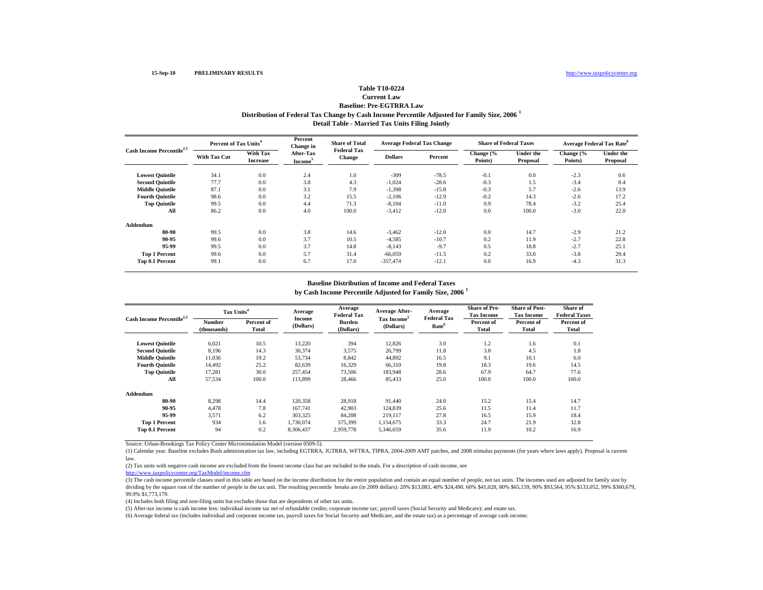## **Distribution of Federal Tax Change by Cash Income Percentile Adjusted for Family Size, 2006 <sup>1</sup> Detail Table - Married Tax Units Filing Jointly Current LawBaseline: Pre-EGTRRA Law**

| Cash Income Percentile <sup>2,3</sup> | Percent of Tax Units <sup>4</sup> |                                    | Percent<br>Change in             | <b>Share of Total</b>               | <b>Average Federal Tax Change</b> |         | <b>Share of Federal Taxes</b> |                       | <b>Average Federal Tax Rate<sup>6</sup></b> |                       |
|---------------------------------------|-----------------------------------|------------------------------------|----------------------------------|-------------------------------------|-----------------------------------|---------|-------------------------------|-----------------------|---------------------------------------------|-----------------------|
|                                       | <b>With Tax Cut</b>               | <b>With Tax</b><br><b>Increase</b> | After-Tax<br>Income <sup>3</sup> | <b>Federal Tax</b><br><b>Change</b> | <b>Dollars</b>                    | Percent | Change (%<br>Points)          | Under the<br>Proposal | Change (%<br>Points)                        | Under the<br>Proposal |
| <b>Lowest Quintile</b>                | 34.1                              | 0.0                                | 2.4                              | 1.0                                 | $-309$                            | $-78.5$ | $-0.1$                        | 0.0                   | $-2.3$                                      | 0.6                   |
| <b>Second Quintile</b>                | 77.7                              | 0.0                                | 3.8                              | 4.3                                 | $-1,024$                          | $-28.6$ | $-0.3$                        | 1.5                   | $-3.4$                                      | 8.4                   |
| <b>Middle Ouintile</b>                | 87.1                              | 0.0                                | 3.1                              | 7.9                                 | $-1,398$                          | $-15.8$ | $-0.3$                        | 5.7                   | $-2.6$                                      | 13.9                  |
| <b>Fourth Ouintile</b>                | 98.6                              | 0.0                                | 3.2                              | 15.5                                | $-2.106$                          | $-12.9$ | $-0.2$                        | 14.3                  | $-2.6$                                      | 17.2                  |
| <b>Top Quintile</b>                   | 99.5                              | 0.0                                | 4.4                              | 71.3                                | $-8.104$                          | $-11.0$ | 0.9                           | 78.4                  | $-3.2$                                      | 25.4                  |
| All                                   | 86.2                              | 0.0                                | 4.0                              | 100.0                               | $-3,412$                          | $-12.0$ | 0.0                           | 100.0                 | $-3.0$                                      | 22.0                  |
| Addendum                              |                                   |                                    |                                  |                                     |                                   |         |                               |                       |                                             |                       |
| 80-90                                 | 99.5                              | 0.0                                | 3.8                              | 14.6                                | $-3,462$                          | $-12.0$ | 0.0                           | 14.7                  | $-2.9$                                      | 21.2                  |
| 90-95                                 | 99.6                              | 0.0                                | 3.7                              | 10.5                                | $-4,585$                          | $-10.7$ | 0.2                           | 11.9                  | $-2.7$                                      | 22.8                  |
| 95-99                                 | 99.5                              | 0.0                                | 3.7                              | 14.8                                | $-8,143$                          | $-9.7$  | 0.5                           | 18.8                  | $-2.7$                                      | 25.1                  |
| <b>Top 1 Percent</b>                  | 99.6                              | 0.0                                | 5.7                              | 31.4                                | $-66,059$                         | $-11.5$ | 0.2                           | 33.0                  | $-3.8$                                      | 29.4                  |
| Top 0.1 Percent                       | 99.1                              | 0.0                                | 6.7                              | 17.0                                | $-357.474$                        | $-12.1$ | 0.0                           | 16.9                  | $-4.3$                                      | 31.3                  |

#### **by Cash Income Percentile Adjusted for Family Size, 2006 <sup>1</sup> Baseline Distribution of Income and Federal Taxes**

| Cash Income Percentile <sup>2,3</sup> | Tax Units <sup>4</sup> |                     | Average                    | Average<br><b>Federal Tax</b> | <b>Average After-</b>                | Average<br><b>Federal Tax</b> | <b>Share of Pre-</b><br><b>Tax Income</b> | <b>Share of Post-</b><br><b>Tax Income</b> | Share of<br><b>Federal Taxes</b> |
|---------------------------------------|------------------------|---------------------|----------------------------|-------------------------------|--------------------------------------|-------------------------------|-------------------------------------------|--------------------------------------------|----------------------------------|
|                                       | Number<br>(thousands)  | Percent of<br>Total | <b>Income</b><br>(Dollars) | <b>Burden</b><br>(Dollars)    | Tax Income <sup>5</sup><br>(Dollars) | Rate <sup>6</sup>             | Percent of<br>Total                       | Percent of<br>Total                        | Percent of<br>Total              |
| <b>Lowest Quintile</b>                | 6,021                  | 10.5                | 13,220                     | 394                           | 12,826                               | 3.0                           | 1.2                                       | 1.6                                        | 0.1                              |
| <b>Second Quintile</b>                | 8,196                  | 14.3                | 30,374                     | 3,575                         | 26,799                               | 11.8                          | 3.8                                       | 4.5                                        | 1.8                              |
| <b>Middle Ouintile</b>                | 11,036                 | 19.2                | 53,734                     | 8,842                         | 44,892                               | 16.5                          | 9.1                                       | 10.1                                       | 6.0                              |
| <b>Fourth Ouintile</b>                | 14.492                 | 25.2                | 82,639                     | 16,329                        | 66,310                               | 19.8                          | 18.3                                      | 19.6                                       | 14.5                             |
| <b>Top Quintile</b>                   | 17,281                 | 30.0                | 257,454                    | 73,506                        | 183,948                              | 28.6                          | 67.9                                      | 64.7                                       | 77.6                             |
| All                                   | 57,534                 | 100.0               | 113,899                    | 28,466                        | 85,433                               | 25.0                          | 100.0                                     | 100.0                                      | 100.0                            |
| Addendum                              |                        |                     |                            |                               |                                      |                               |                                           |                                            |                                  |
| 80-90                                 | 8,298                  | 14.4                | 120,358                    | 28,918                        | 91,440                               | 24.0                          | 15.2                                      | 15.4                                       | 14.7                             |
| 90-95                                 | 4.478                  | 7.8                 | 167.741                    | 42,903                        | 124,839                              | 25.6                          | 11.5                                      | 11.4                                       | 11.7                             |
| 95-99                                 | 3.571                  | 6.2                 | 303,325                    | 84,208                        | 219,117                              | 27.8                          | 16.5                                      | 15.9                                       | 18.4                             |
| <b>Top 1 Percent</b>                  | 934                    | 1.6                 | 1,730,074                  | 575,399                       | 1,154,675                            | 33.3                          | 24.7                                      | 21.9                                       | 32.8                             |
| Top 0.1 Percent                       | 94                     | 0.2                 | 8,306,437                  | 2,959,778                     | 5,346,659                            | 35.6                          | 11.9                                      | 10.2                                       | 16.9                             |

Source: Urban-Brookings Tax Policy Center Microsimulation Model (version 0509-5).

(1) Calendar year. Baseline excludes Bush administration tax law, including EGTRRA, JGTRRA, WFTRA, TIPRA, 2004-2009 AMT patches, and 2008 stimulus payments (for years where laws apply). Proposal is current law.

(2) Tax units with negative cash income are excluded from the lowest income class but are included in the totals. For a description of cash income, see

http://www.taxpolicycenter.org/TaxModel/income.cfm

(3) The cash income percentile classes used in this table are based on the income distribution for the entire population and contain an equal number of people, not tax units. The incomes used are adjusted for family size b dividing by the square root of the number of people in the tax unit. The resulting percentile breaks are (in 2009 dollars): 20% \$13,083, 40% \$24,490, 60% \$41,028, 80% \$65,159, 90% \$93,564, 95% \$133,052, 99% \$360,679, 99.9% \$1,773,179.

(4) Includes both filing and non-filing units but excludes those that are dependents of other tax units.

(5) After-tax income is cash income less: individual income tax net of refundable credits; corporate income tax; payroll taxes (Social Security and Medicare); and estate tax.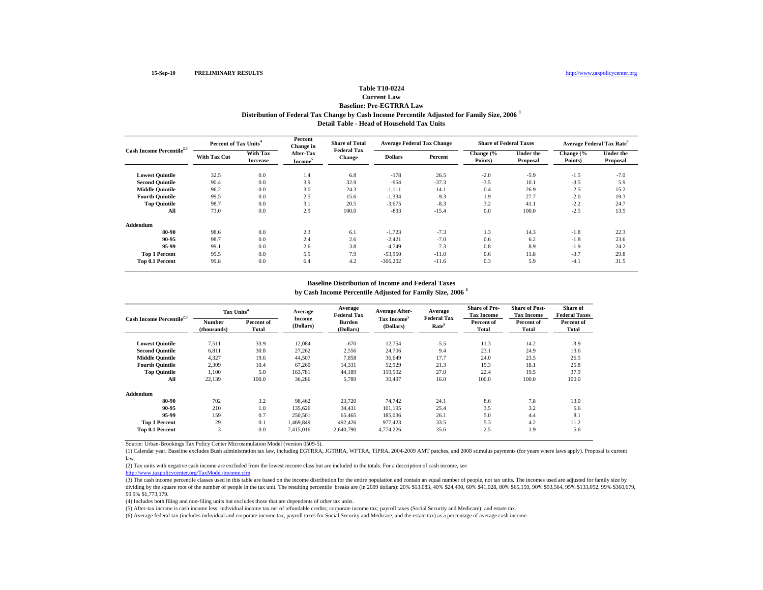## **Distribution of Federal Tax Change by Cash Income Percentile Adjusted for Family Size, 2006 <sup>1</sup> Detail Table - Head of Household Tax UnitsCurrent LawBaseline: Pre-EGTRRA Law**

| Cash Income Percentile <sup>2,3</sup> | Percent of Tax Units <sup>4</sup> |                                    | Percent<br>Change in             | <b>Share of Total</b><br><b>Federal Tax</b> | <b>Average Federal Tax Change</b> |         | <b>Share of Federal Taxes</b> |                       | <b>Average Federal Tax Rate<sup>6</sup></b> |                       |
|---------------------------------------|-----------------------------------|------------------------------------|----------------------------------|---------------------------------------------|-----------------------------------|---------|-------------------------------|-----------------------|---------------------------------------------|-----------------------|
|                                       | <b>With Tax Cut</b>               | <b>With Tax</b><br><b>Increase</b> | After-Tax<br>Income <sup>3</sup> | Change                                      | <b>Dollars</b>                    | Percent | Change (%<br>Points)          | Under the<br>Proposal | Change (%<br>Points)                        | Under the<br>Proposal |
| <b>Lowest Quintile</b>                | 32.5                              | 0.0                                | 1.4                              | 6.8                                         | $-178$                            | 26.5    | $-2.0$                        | $-5.9$                | $-1.5$                                      | $-7.0$                |
| <b>Second Quintile</b>                | 90.4                              | 0.0                                | 3.9                              | 32.9                                        | $-954$                            | $-37.3$ | $-3.5$                        | 10.1                  | $-3.5$                                      | 5.9                   |
| <b>Middle Quintile</b>                | 96.2                              | 0.0                                | 3.0                              | 24.3                                        | $-1,111$                          | $-14.1$ | 0.4                           | 26.9                  | $-2.5$                                      | 15.2                  |
| <b>Fourth Ouintile</b>                | 99.5                              | 0.0                                | 2.5                              | 15.6                                        | $-1,334$                          | $-9.3$  | 1.9                           | 27.7                  | $-2.0$                                      | 19.3                  |
| <b>Top Quintile</b>                   | 98.7                              | 0.0                                | 3.1                              | 20.5                                        | $-3,675$                          | $-8.3$  | 3.2                           | 41.1                  | $-2.2$                                      | 24.7                  |
| All                                   | 73.0                              | 0.0                                | 2.9                              | 100.0                                       | $-893$                            | $-15.4$ | 0.0                           | 100.0                 | $-2.5$                                      | 13.5                  |
| Addendum                              |                                   |                                    |                                  |                                             |                                   |         |                               |                       |                                             |                       |
| 80-90                                 | 98.6                              | 0.0                                | 2.3                              | 6.1                                         | $-1,723$                          | $-7.3$  | 1.3                           | 14.3                  | $-1.8$                                      | 22.3                  |
| 90-95                                 | 98.7                              | 0.0                                | 2.4                              | 2.6                                         | $-2,421$                          | $-7.0$  | 0.6                           | 6.2                   | $-1.8$                                      | 23.6                  |
| 95-99                                 | 99.1                              | 0.0                                | 2.6                              | 3.8                                         | $-4,749$                          | $-7.3$  | 0.8                           | 8.9                   | $-1.9$                                      | 24.2                  |
| <b>Top 1 Percent</b>                  | 99.5                              | 0.0                                | 5.5                              | 7.9                                         | $-53,950$                         | $-11.0$ | 0.6                           | 11.8                  | $-3.7$                                      | 29.8                  |
| Top 0.1 Percent                       | 99.8                              | 0.0                                | 6.4                              | 4.2                                         | $-306,202$                        | $-11.6$ | 0.3                           | 5.9                   | $-4.1$                                      | 31.5                  |

#### **by Cash Income Percentile Adjusted for Family Size, 2006 <sup>1</sup> Baseline Distribution of Income and Federal Taxes**

| Cash Income Percentile <sup>2,3</sup> | Tax Units <sup>4</sup> |                     | Average                    | Average<br><b>Federal Tax</b> | <b>Average After-</b>                | Average<br><b>Federal Tax</b> | <b>Share of Pre-</b><br><b>Tax Income</b> | <b>Share of Post-</b><br><b>Tax Income</b> | Share of<br><b>Federal Taxes</b> |
|---------------------------------------|------------------------|---------------------|----------------------------|-------------------------------|--------------------------------------|-------------------------------|-------------------------------------------|--------------------------------------------|----------------------------------|
|                                       | Number<br>(thousands)  | Percent of<br>Total | <b>Income</b><br>(Dollars) | <b>Burden</b><br>(Dollars)    | Tax Income <sup>5</sup><br>(Dollars) | Rate <sup>6</sup>             | Percent of<br>Total                       | Percent of<br>Total                        | Percent of<br>Total              |
| <b>Lowest Quintile</b>                | 7,511                  | 33.9                | 12,084                     | $-670$                        | 12,754                               | $-5.5$                        | 11.3                                      | 14.2                                       | $-3.9$                           |
| <b>Second Quintile</b>                | 6,811                  | 30.8                | 27,262                     | 2,556                         | 24,706                               | 9.4                           | 23.1                                      | 24.9                                       | 13.6                             |
| <b>Middle Quintile</b>                | 4,327                  | 19.6                | 44,507                     | 7,858                         | 36,649                               | 17.7                          | 24.0                                      | 23.5                                       | 26.5                             |
| <b>Fourth Quintile</b>                | 2,309                  | 10.4                | 67,260                     | 14,331                        | 52,929                               | 21.3                          | 19.3                                      | 18.1                                       | 25.8                             |
| <b>Top Quintile</b>                   | 1.100                  | 5.0                 | 163,781                    | 44.189                        | 119,592                              | 27.0                          | 22.4                                      | 19.5                                       | 37.9                             |
| All                                   | 22,139                 | 100.0               | 36,286                     | 5,789                         | 30,497                               | 16.0                          | 100.0                                     | 100.0                                      | 100.0                            |
| Addendum                              |                        |                     |                            |                               |                                      |                               |                                           |                                            |                                  |
| 80-90                                 | 702                    | 3.2                 | 98,462                     | 23,720                        | 74,742                               | 24.1                          | 8.6                                       | 7.8                                        | 13.0                             |
| 90-95                                 | 210                    | 1.0                 | 135,626                    | 34,431                        | 101,195                              | 25.4                          | 3.5                                       | 3.2                                        | 5.6                              |
| 95-99                                 | 159                    | 0.7                 | 250,501                    | 65,465                        | 185,036                              | 26.1                          | 5.0                                       | 4.4                                        | 8.1                              |
| <b>Top 1 Percent</b>                  | 29                     | 0.1                 | 1,469,849                  | 492,426                       | 977.423                              | 33.5                          | 5.3                                       | 4.2                                        | 11.2                             |
| Top 0.1 Percent                       | 3                      | 0.0                 | 7,415,016                  | 2,640,790                     | 4,774,226                            | 35.6                          | 2.5                                       | 1.9                                        | 5.6                              |

Source: Urban-Brookings Tax Policy Center Microsimulation Model (version 0509-5).

(1) Calendar year. Baseline excludes Bush administration tax law, including EGTRRA, JGTRRA, WFTRA, TIPRA, 2004-2009 AMT patches, and 2008 stimulus payments (for years where laws apply). Proposal is current law.

(2) Tax units with negative cash income are excluded from the lowest income class but are included in the totals. For a description of cash income, see

http://www.taxpolicycenter.org/TaxModel/income.cfm

(3) The cash income percentile classes used in this table are based on the income distribution for the entire population and contain an equal number of people, not tax units. The incomes used are adjusted for family size b dividing by the square root of the number of people in the tax unit. The resulting percentile breaks are (in 2009 dollars): 20% \$13,083, 40% \$24,490, 60% \$41,028, 80% \$65,159, 90% \$93,564, 95% \$133,052, 99% \$360,679, 99.9% \$1,773,179.

(4) Includes both filing and non-filing units but excludes those that are dependents of other tax units.

(5) After-tax income is cash income less: individual income tax net of refundable credits; corporate income tax; payroll taxes (Social Security and Medicare); and estate tax.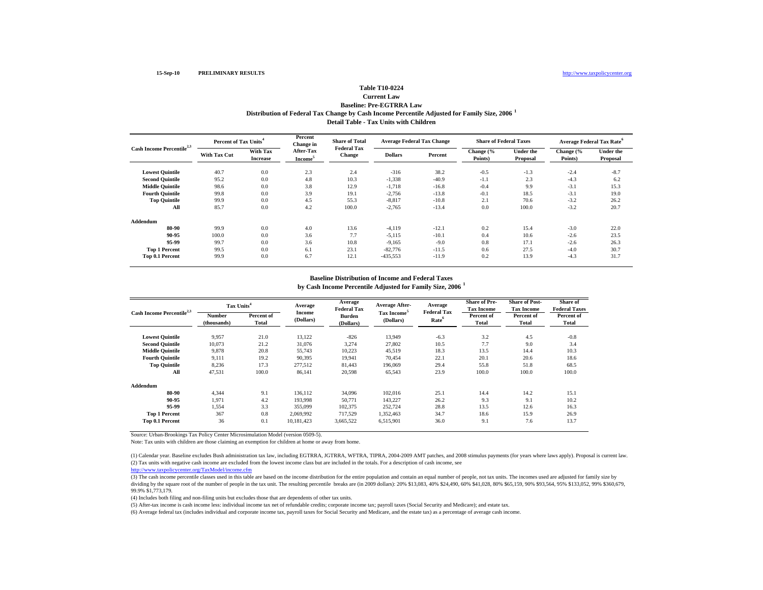#### **Table T10-0224Current Law**

## **Distribution of Federal Tax Change by Cash Income Percentile Adjusted for Family Size, 2006 <sup>1</sup> Detail Table - Tax Units with ChildrenBaseline: Pre-EGTRRA Law**

| Cash Income Percentile <sup>2,3</sup> |                     | Percent of Tax Units <sup>4</sup> |                                  | <b>Share of Total</b><br><b>Federal Tax</b> | <b>Average Federal Tax Change</b> |         | <b>Share of Federal Taxes</b> |                              | Average Federal Tax Rate <sup>6</sup> |                              |
|---------------------------------------|---------------------|-----------------------------------|----------------------------------|---------------------------------------------|-----------------------------------|---------|-------------------------------|------------------------------|---------------------------------------|------------------------------|
|                                       | <b>With Tax Cut</b> | With Tax<br><b>Increase</b>       | After-Tax<br>Income <sup>5</sup> | <b>Change</b>                               | <b>Dollars</b>                    | Percent | Change (%<br>Points)          | <b>Under the</b><br>Proposal | Change (%<br>Points)                  | <b>Under the</b><br>Proposal |
| <b>Lowest Quintile</b>                | 40.7                | 0.0                               | 2.3                              | 2.4                                         | $-316$                            | 38.2    | $-0.5$                        | $-1.3$                       | $-2.4$                                | $-8.7$                       |
| <b>Second Quintile</b>                | 95.2                | 0.0                               | 4.8                              | 10.3                                        | $-1,338$                          | $-40.9$ | $-1.1$                        | 2.3                          | $-4.3$                                | 6.2                          |
| <b>Middle Quintile</b>                | 98.6                | 0.0                               | 3.8                              | 12.9                                        | $-1,718$                          | $-16.8$ | $-0.4$                        | 9.9                          | $-3.1$                                | 15.3                         |
| <b>Fourth Quintile</b>                | 99.8                | 0.0                               | 3.9                              | 19.1                                        | $-2,756$                          | $-13.8$ | $-0.1$                        | 18.5                         | $-3.1$                                | 19.0                         |
| <b>Top Quintile</b>                   | 99.9                | 0.0                               | 4.5                              | 55.3                                        | $-8,817$                          | $-10.8$ | 2.1                           | 70.6                         | $-3.2$                                | 26.2                         |
| All                                   | 85.7                | 0.0                               | 4.2                              | 100.0                                       | $-2,765$                          | $-13.4$ | 0.0                           | 100.0                        | $-3.2$                                | 20.7                         |
| Addendum                              |                     |                                   |                                  |                                             |                                   |         |                               |                              |                                       |                              |
| 80-90                                 | 99.9                | 0.0                               | 4.0                              | 13.6                                        | $-4,119$                          | $-12.1$ | 0.2                           | 15.4                         | $-3.0$                                | 22.0                         |
| 90-95                                 | 100.0               | 0.0                               | 3.6                              | 7.7                                         | $-5,115$                          | $-10.1$ | 0.4                           | 10.6                         | $-2.6$                                | 23.5                         |
| 95-99                                 | 99.7                | 0.0                               | 3.6                              | 10.8                                        | $-9,165$                          | $-9.0$  | 0.8                           | 17.1                         | $-2.6$                                | 26.3                         |
| <b>Top 1 Percent</b>                  | 99.5                | 0.0                               | 6.1                              | 23.1                                        | $-82,776$                         | $-11.5$ | 0.6                           | 27.5                         | $-4.0$                                | 30.7                         |
| Top 0.1 Percent                       | 99.9                | 0.0                               | 6.7                              | 12.1                                        | $-435,553$                        | $-11.9$ | 0.2                           | 13.9                         | $-4.3$                                | 31.7                         |

#### **Baseline Distribution of Income and Federal Taxes**

**by Cash Income Percentile Adjusted for Family Size, 2006 <sup>1</sup>**

| Cash Income Percentile <sup>2,3</sup> | Tax Units <sup>4</sup>       |                     | Average             | Average<br><b>Federal Tax</b> | <b>Average After-</b>                | Average                                 | <b>Share of Pre-</b><br><b>Tax Income</b> | <b>Share of Post-</b><br><b>Tax Income</b> | Share of<br><b>Federal Taxes</b> |
|---------------------------------------|------------------------------|---------------------|---------------------|-------------------------------|--------------------------------------|-----------------------------------------|-------------------------------------------|--------------------------------------------|----------------------------------|
|                                       | <b>Number</b><br>(thousands) | Percent of<br>Total | Income<br>(Dollars) | Burden<br>(Dollars)           | Tax Income <sup>5</sup><br>(Dollars) | <b>Federal Tax</b><br>Rate <sup>6</sup> | Percent of<br><b>Total</b>                | Percent of<br><b>Total</b>                 | Percent of<br>Total              |
| <b>Lowest Quintile</b>                | 9.957                        | 21.0                | 13,122              | $-826$                        | 13,949                               | $-6.3$                                  | 3.2                                       | 4.5                                        | $-0.8$                           |
| <b>Second Quintile</b>                | 10.073                       | 21.2                | 31,076              | 3,274                         | 27,802                               | 10.5                                    | 7.7                                       | 9.0                                        | 3.4                              |
| <b>Middle Quintile</b>                | 9,878                        | 20.8                | 55,743              | 10,223                        | 45,519                               | 18.3                                    | 13.5                                      | 14.4                                       | 10.3                             |
| <b>Fourth Ouintile</b>                | 9.111                        | 19.2                | 90,395              | 19.941                        | 70.454                               | 22.1                                    | 20.1                                      | 20.6                                       | 18.6                             |
| <b>Top Quintile</b>                   | 8,236                        | 17.3                | 277.512             | 81.443                        | 196,069                              | 29.4                                    | 55.8                                      | 51.8                                       | 68.5                             |
| All                                   | 47,531                       | 100.0               | 86,141              | 20,598                        | 65,543                               | 23.9                                    | 100.0                                     | 100.0                                      | 100.0                            |
| Addendum                              |                              |                     |                     |                               |                                      |                                         |                                           |                                            |                                  |
| 80-90                                 | 4.344                        | 9.1                 | 136.112             | 34,096                        | 102,016                              | 25.1                                    | 14.4                                      | 14.2                                       | 15.1                             |
| 90-95                                 | 1.971                        | 4.2                 | 193,998             | 50,771                        | 143,227                              | 26.2                                    | 9.3                                       | 9.1                                        | 10.2                             |
| 95-99                                 | 1,554                        | 3.3                 | 355,099             | 102,375                       | 252,724                              | 28.8                                    | 13.5                                      | 12.6                                       | 16.3                             |
| <b>Top 1 Percent</b>                  | 367                          | 0.8                 | 2,069,992           | 717,529                       | 1,352,463                            | 34.7                                    | 18.6                                      | 15.9                                       | 26.9                             |
| Top 0.1 Percent                       | 36                           | 0.1                 | 10.181.423          | 3,665,522                     | 6.515.901                            | 36.0                                    | 9.1                                       | 7.6                                        | 13.7                             |

Source: Urban-Brookings Tax Policy Center Microsimulation Model (version 0509-5).

Note: Tax units with children are those claiming an exemption for children at home or away from home.

(2) Tax units with negative cash income are excluded from the lowest income class but are included in the totals. For a description of cash income, see (1) Calendar year. Baseline excludes Bush administration tax law, including EGTRRA, JGTRRA, WFTRA, TIPRA, 2004-2009 AMT patches, and 2008 stimulus payments (for years where laws apply). Proposal is current law.

http://www.taxpolicycenter.org/TaxModel/income.cfm

(3) The cash income percentile classes used in this table are based on the income distribution for the entire population and contain an equal number of people, not tax units. The incomes used are adjusted for family size by dividing by the square root of the number of people in the tax unit. The resulting percentile breaks are (in 2009 dollars): 20% \$13,083, 40% \$24,490, 60% \$41,028, 80% \$65,159, 90% \$93,564, 95% \$133,052, 99% \$360,679, 99.9% \$1,773,179.

(4) Includes both filing and non-filing units but excludes those that are dependents of other tax units.

(5) After-tax income is cash income less: individual income tax net of refundable credits; corporate income tax; payroll taxes (Social Security and Medicare); and estate tax.